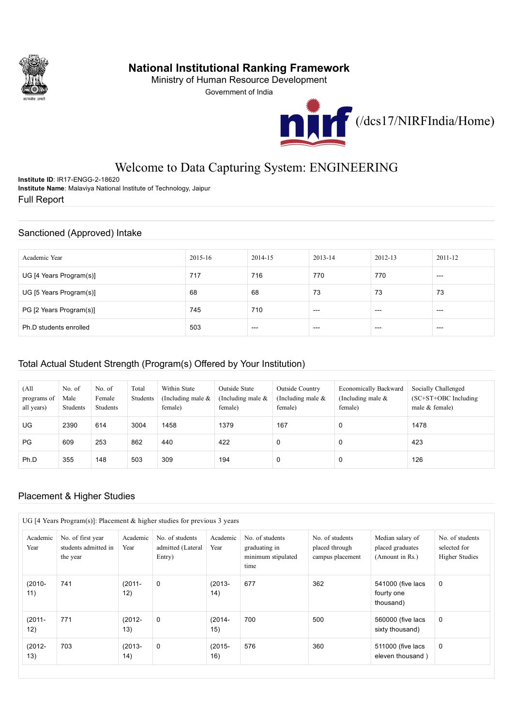

## National Institutional Ranking Framework

Ministry of Human Resource Development

Government of India



# Welcome to Data Capturing System: ENGINEERING

Institute ID: IR17-ENGG-2-18620 Institute Name: Malaviya National Institute of Technology, Jaipur Full Report

### Sanctioned (Approved) Intake

| Academic Year           | 2015-16 | 2014-15 | $2013 - 14$ | 2012-13 | 2011-12 |
|-------------------------|---------|---------|-------------|---------|---------|
| UG [4 Years Program(s)] | 717     | 716     | 770         | 770     | $- - -$ |
| UG [5 Years Program(s)] | 68      | 68      | 73          | 73      | 73      |
| PG [2 Years Program(s)] | 745     | 710     | $--$        | $--$    | $- - -$ |
| Ph.D students enrolled  | 503     | $--$    | $---$       | $-- -$  | $--$    |

### Total Actual Student Strength (Program(s) Offered by Your Institution)

| (A <sup>1</sup> ]<br>programs of<br>all years) | No. of<br>Male<br>Students | No. of<br>Female<br>Students | Total<br>Students | Within State<br>(Including male $\&$<br>female) | <b>Outside State</b><br>(Including male $\&$<br>female) | Outside Country<br>(Including male $\&$<br>female) | <b>Economically Backward</b><br>(Including male $\&$<br>female) | Socially Challenged<br>$SC+ST+OBC$ Including<br>male $&$ female) |
|------------------------------------------------|----------------------------|------------------------------|-------------------|-------------------------------------------------|---------------------------------------------------------|----------------------------------------------------|-----------------------------------------------------------------|------------------------------------------------------------------|
| UG                                             | 2390                       | 614                          | 3004              | 1458                                            | 1379                                                    | 167                                                | 0                                                               | 1478                                                             |
| PG                                             | 609                        | 253                          | 862               | 440                                             | 422                                                     | U                                                  | 0                                                               | 423                                                              |
| Ph.D                                           | 355                        | 148                          | 503               | 309                                             | 194                                                     | U                                                  | 0                                                               | 126                                                              |

### Placement & Higher Studies

|                  | UG [4 Years Program(s)]: Placement & higher studies for previous 3 years |                  |                                                |                  |                                                                |                                                       |                                                         |                                                          |
|------------------|--------------------------------------------------------------------------|------------------|------------------------------------------------|------------------|----------------------------------------------------------------|-------------------------------------------------------|---------------------------------------------------------|----------------------------------------------------------|
| Academic<br>Year | No. of first year<br>students admitted in<br>the year                    | Academic<br>Year | No. of students<br>admitted (Lateral<br>Entry) | Academic<br>Year | No. of students<br>graduating in<br>minimum stipulated<br>time | No. of students<br>placed through<br>campus placement | Median salary of<br>placed graduates<br>(Amount in Rs.) | No. of students<br>selected for<br><b>Higher Studies</b> |
| $(2010 -$<br>11) | 741                                                                      | $(2011 -$<br>12) | 0                                              | $(2013 -$<br>14) | 677                                                            | 362                                                   | 541000 (five lacs<br>fourty one<br>thousand)            | 0                                                        |
| $(2011 -$<br>12) | 771                                                                      | $(2012 -$<br>13) | $\mathbf 0$                                    | $(2014 -$<br>15) | 700                                                            | 500                                                   | 560000 (five lacs<br>sixty thousand)                    | 0                                                        |
| $(2012 -$<br>13) | 703                                                                      | $(2013 -$<br>14) | $\mathbf 0$                                    | $(2015 -$<br>16) | 576                                                            | 360                                                   | 511000 (five lacs<br>eleven thousand)                   | 0                                                        |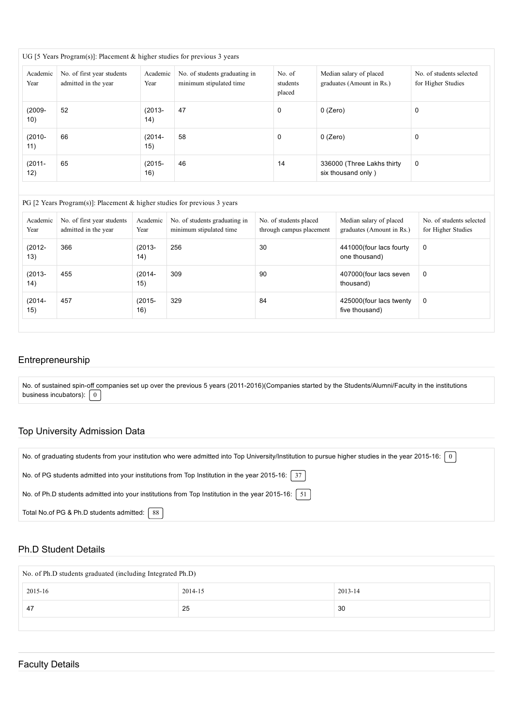| UG [5 Years Program(s)]: Placement & higher studies for previous 3 years |                                                    |                  |                                                          |                              |                                                      |                                                |  |  |  |
|--------------------------------------------------------------------------|----------------------------------------------------|------------------|----------------------------------------------------------|------------------------------|------------------------------------------------------|------------------------------------------------|--|--|--|
| Academic<br>Year                                                         | No. of first year students<br>admitted in the year | Academic<br>Year | No. of students graduating in<br>minimum stipulated time | No. of<br>students<br>placed | Median salary of placed<br>graduates (Amount in Rs.) | No. of students selected<br>for Higher Studies |  |  |  |
| $(2009 -$<br>10)                                                         | 52                                                 | $(2013 -$<br>14) | 47                                                       | 0                            | 0 (Zero)                                             | 0                                              |  |  |  |
| $(2010 -$<br>11)                                                         | 66                                                 | $(2014 -$<br>15) | 58                                                       | 0                            | 0 (Zero)                                             | 0                                              |  |  |  |
| $(2011 -$<br>12)                                                         | 65                                                 | $(2015 -$<br>16) | 46                                                       | 14                           | 336000 (Three Lakhs thirty<br>six thousand only)     | 0                                              |  |  |  |

#### PG [2 Years Program(s)]: Placement & higher studies for previous 3 years

| Academic<br>Year | No. of first year students<br>admitted in the year | Academic<br>Year | No. of students graduating in<br>minimum stipulated time | No. of students placed<br>through campus placement | Median salary of placed<br>graduates (Amount in Rs.) | No. of students selected<br>for Higher Studies |
|------------------|----------------------------------------------------|------------------|----------------------------------------------------------|----------------------------------------------------|------------------------------------------------------|------------------------------------------------|
| $(2012 -$<br>13) | 366                                                | $(2013 -$<br>14) | 256                                                      | 30                                                 | 441000 (four lacs fourty<br>one thousand)            | $\mathbf 0$                                    |
| $(2013 -$<br>14) | 455                                                | $(2014 -$<br>15) | 309                                                      | 90                                                 | 407000 (four lacs seven<br>thousand)                 | $\mathbf 0$                                    |
| $(2014 -$<br>15) | 457                                                | $(2015 -$<br>16) | 329                                                      | 84                                                 | 425000 (four lacs twenty<br>five thousand)           | $\mathbf 0$                                    |

#### Entrepreneurship

No. of sustained spin-off companies set up over the previous 5 years (2011-2016)(Companies started by the Students/Alumni/Faculty in the institutions business incubators):  $\boxed{0}$ 

### Top University Admission Data

| No. of graduating students from your institution who were admitted into Top University/Institution to pursue higher studies in the year 2015-16:   0 |
|------------------------------------------------------------------------------------------------------------------------------------------------------|
| No. of PG students admitted into your institutions from Top Institution in the year 2015-16: $\mid$ 37                                               |
| No. of Ph.D students admitted into your institutions from Top Institution in the year 2015-16:   51                                                  |
| Total No.of PG & Ph.D students admitted:   88                                                                                                        |

#### Ph.D Student Details

| No. of Ph.D students graduated (including Integrated Ph.D) |    |     |  |  |  |  |  |  |  |
|------------------------------------------------------------|----|-----|--|--|--|--|--|--|--|
| 2015-16<br>2013-14<br>2014-15                              |    |     |  |  |  |  |  |  |  |
| 47                                                         | 25 | -30 |  |  |  |  |  |  |  |
|                                                            |    |     |  |  |  |  |  |  |  |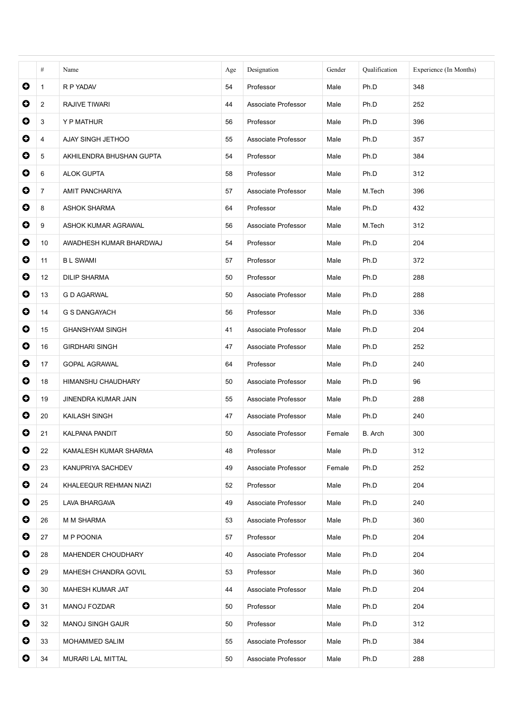|           | #              | Name                     | Age | Designation         | Gender | Qualification | Experience (In Months) |
|-----------|----------------|--------------------------|-----|---------------------|--------|---------------|------------------------|
| $\bullet$ | $\mathbf{1}$   | R P YADAV                | 54  | Professor           | Male   | Ph.D          | 348                    |
| 0         | $\overline{2}$ | <b>RAJIVE TIWARI</b>     | 44  | Associate Professor | Male   | Ph.D          | 252                    |
| $\bullet$ | 3              | Y P MATHUR               | 56  | Professor           | Male   | Ph.D          | 396                    |
| $\bullet$ | 4              | AJAY SINGH JETHOO        | 55  | Associate Professor | Male   | Ph.D          | 357                    |
| 0         | 5              | AKHILENDRA BHUSHAN GUPTA | 54  | Professor           | Male   | Ph.D          | 384                    |
| $\bullet$ | 6              | <b>ALOK GUPTA</b>        | 58  | Professor           | Male   | Ph.D          | 312                    |
| $\bullet$ | $\overline{7}$ | AMIT PANCHARIYA          | 57  | Associate Professor | Male   | M.Tech        | 396                    |
| 0         | 8              | <b>ASHOK SHARMA</b>      | 64  | Professor           | Male   | Ph.D          | 432                    |
| $\bullet$ | 9              | ASHOK KUMAR AGRAWAL      | 56  | Associate Professor | Male   | M.Tech        | 312                    |
| $\bullet$ | 10             | AWADHESH KUMAR BHARDWAJ  | 54  | Professor           | Male   | Ph.D          | 204                    |
| 0         | 11             | <b>BL SWAMI</b>          | 57  | Professor           | Male   | Ph.D          | 372                    |
| $\bullet$ | 12             | <b>DILIP SHARMA</b>      | 50  | Professor           | Male   | Ph.D          | 288                    |
| $\bullet$ | 13             | <b>G D AGARWAL</b>       | 50  | Associate Professor | Male   | Ph.D          | 288                    |
| 0         | 14             | <b>G S DANGAYACH</b>     | 56  | Professor           | Male   | Ph.D          | 336                    |
| $\bullet$ | 15             | <b>GHANSHYAM SINGH</b>   | 41  | Associate Professor | Male   | Ph.D          | 204                    |
| $\bullet$ | 16             | <b>GIRDHARI SINGH</b>    | 47  | Associate Professor | Male   | Ph.D          | 252                    |
| 0         | 17             | <b>GOPAL AGRAWAL</b>     | 64  | Professor           | Male   | Ph.D          | 240                    |
| $\bullet$ | 18             | HIMANSHU CHAUDHARY       | 50  | Associate Professor | Male   | Ph.D          | 96                     |
| $\bullet$ | 19             | JINENDRA KUMAR JAIN      | 55  | Associate Professor | Male   | Ph.D          | 288                    |
| 0         | 20             | KAILASH SINGH            | 47  | Associate Professor | Male   | Ph.D          | 240                    |
| O         | 21             | <b>KALPANA PANDIT</b>    | 50  | Associate Professor | Female | B. Arch       | 300                    |
| $\bullet$ | 22             | KAMALESH KUMAR SHARMA    | 48  | Professor           | Male   | Ph.D          | 312                    |
| $\bullet$ | 23             | KANUPRIYA SACHDEV        | 49  | Associate Professor | Female | Ph.D          | 252                    |
| $\bullet$ | 24             | KHALEEQUR REHMAN NIAZI   | 52  | Professor           | Male   | Ph.D          | 204                    |
| $\bullet$ | 25             | LAVA BHARGAVA            | 49  | Associate Professor | Male   | Ph.D          | 240                    |
| $\bullet$ | 26             | M M SHARMA               | 53  | Associate Professor | Male   | Ph.D          | 360                    |
| $\bullet$ | 27             | M P POONIA               | 57  | Professor           | Male   | Ph.D          | 204                    |
| $\bullet$ | 28             | MAHENDER CHOUDHARY       | 40  | Associate Professor | Male   | Ph.D          | 204                    |
| $\bullet$ | 29             | MAHESH CHANDRA GOVIL     | 53  | Professor           | Male   | Ph.D          | 360                    |
| $\bullet$ | 30             | MAHESH KUMAR JAT         | 44  | Associate Professor | Male   | Ph.D          | 204                    |
| $\bullet$ | 31             | MANOJ FOZDAR             | 50  | Professor           | Male   | Ph.D          | 204                    |
| $\bullet$ | 32             | <b>MANOJ SINGH GAUR</b>  | 50  | Professor           | Male   | Ph.D          | 312                    |
| $\bullet$ | 33             | MOHAMMED SALIM           | 55  | Associate Professor | Male   | Ph.D          | 384                    |
| $\bullet$ | 34             | MURARI LAL MITTAL        | 50  | Associate Professor | Male   | Ph.D          | 288                    |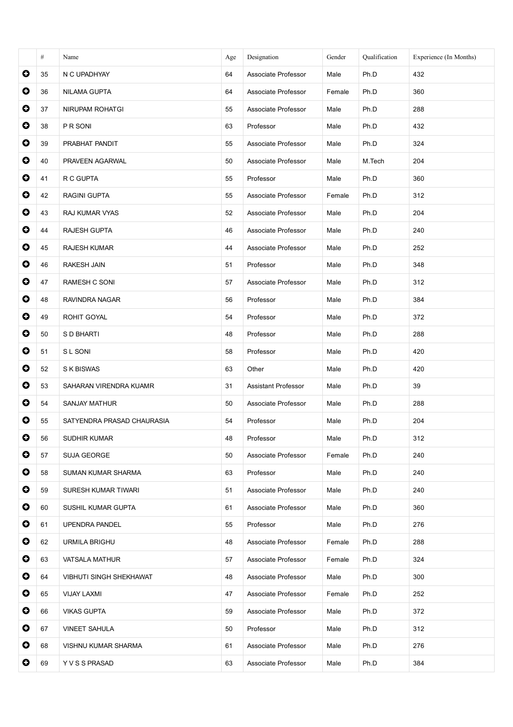|           | #  | Name                           | Age | Designation         | Gender | Qualification | Experience (In Months) |
|-----------|----|--------------------------------|-----|---------------------|--------|---------------|------------------------|
| $\bullet$ | 35 | N C UPADHYAY                   | 64  | Associate Professor | Male   | Ph.D          | 432                    |
| $\bullet$ | 36 | <b>NILAMA GUPTA</b>            | 64  | Associate Professor | Female | Ph.D          | 360                    |
| $\bullet$ | 37 | NIRUPAM ROHATGI                | 55  | Associate Professor | Male   | Ph.D          | 288                    |
| $\bullet$ | 38 | P R SONI                       | 63  | Professor           | Male   | Ph.D          | 432                    |
| $\bullet$ | 39 | PRABHAT PANDIT                 | 55  | Associate Professor | Male   | Ph.D          | 324                    |
| $\bullet$ | 40 | PRAVEEN AGARWAL                | 50  | Associate Professor | Male   | M.Tech        | 204                    |
| $\bullet$ | 41 | R C GUPTA                      | 55  | Professor           | Male   | Ph.D          | 360                    |
| $\bullet$ | 42 | <b>RAGINI GUPTA</b>            | 55  | Associate Professor | Female | Ph.D          | 312                    |
| $\bullet$ | 43 | RAJ KUMAR VYAS                 | 52  | Associate Professor | Male   | Ph.D          | 204                    |
| $\bullet$ | 44 | RAJESH GUPTA                   | 46  | Associate Professor | Male   | Ph.D          | 240                    |
| $\bullet$ | 45 | <b>RAJESH KUMAR</b>            | 44  | Associate Professor | Male   | Ph.D          | 252                    |
| $\bullet$ | 46 | RAKESH JAIN                    | 51  | Professor           | Male   | Ph.D          | 348                    |
| $\bullet$ | 47 | RAMESH C SONI                  | 57  | Associate Professor | Male   | Ph.D          | 312                    |
| $\bullet$ | 48 | RAVINDRA NAGAR                 | 56  | Professor           | Male   | Ph.D          | 384                    |
| $\bullet$ | 49 | ROHIT GOYAL                    | 54  | Professor           | Male   | Ph.D          | 372                    |
| $\bullet$ | 50 | S D BHARTI                     | 48  | Professor           | Male   | Ph.D          | 288                    |
| $\bullet$ | 51 | S L SONI                       | 58  | Professor           | Male   | Ph.D          | 420                    |
| $\bullet$ | 52 | S K BISWAS                     | 63  | Other               | Male   | Ph.D          | 420                    |
| $\bullet$ | 53 | SAHARAN VIRENDRA KUAMR         | 31  | Assistant Professor | Male   | Ph.D          | 39                     |
| $\bullet$ | 54 | SANJAY MATHUR                  | 50  | Associate Professor | Male   | Ph.D          | 288                    |
| $\bullet$ | 55 | SATYENDRA PRASAD CHAURASIA     | 54  | Professor           | Male   | Ph.D          | 204                    |
| O         | 56 | SUDHIR KUMAR                   | 48  | Professor           | Male   | Ph.D          | 312                    |
| $\bullet$ | 57 | SUJA GEORGE                    | 50  | Associate Professor | Female | Ph.D          | 240                    |
| $\bullet$ | 58 | SUMAN KUMAR SHARMA             | 63  | Professor           | Male   | Ph.D          | 240                    |
| $\bullet$ | 59 | SURESH KUMAR TIWARI            | 51  | Associate Professor | Male   | Ph.D          | 240                    |
| $\bullet$ | 60 | SUSHIL KUMAR GUPTA             | 61  | Associate Professor | Male   | Ph.D          | 360                    |
| $\bullet$ | 61 | <b>UPENDRA PANDEL</b>          | 55  | Professor           | Male   | Ph.D          | 276                    |
| $\bullet$ | 62 | URMILA BRIGHU                  | 48  | Associate Professor | Female | Ph.D          | 288                    |
| $\bullet$ | 63 | VATSALA MATHUR                 | 57  | Associate Professor | Female | Ph.D          | 324                    |
| $\bullet$ | 64 | <b>VIBHUTI SINGH SHEKHAWAT</b> | 48  | Associate Professor | Male   | Ph.D          | 300                    |
| $\bullet$ | 65 | VIJAY LAXMI                    | 47  | Associate Professor | Female | Ph.D          | 252                    |
| $\bullet$ | 66 | <b>VIKAS GUPTA</b>             | 59  | Associate Professor | Male   | Ph.D          | 372                    |
| $\bullet$ | 67 | <b>VINEET SAHULA</b>           | 50  | Professor           | Male   | Ph.D          | 312                    |
| $\bullet$ | 68 | VISHNU KUMAR SHARMA            | 61  | Associate Professor | Male   | Ph.D          | 276                    |
| $\bullet$ | 69 | Y V S S PRASAD                 | 63  | Associate Professor | Male   | Ph.D          | 384                    |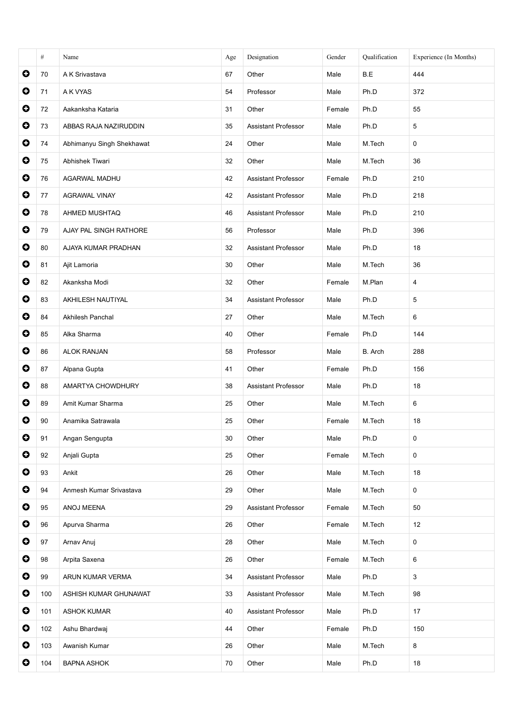|           | #   | Name                      | Age | Designation                | Gender | Qualification | Experience (In Months) |
|-----------|-----|---------------------------|-----|----------------------------|--------|---------------|------------------------|
| $\bullet$ | 70  | A K Srivastava            | 67  | Other                      | Male   | B.E           | 444                    |
| $\bullet$ | 71  | A K VYAS                  | 54  | Professor                  | Male   | Ph.D          | 372                    |
| $\bullet$ | 72  | Aakanksha Kataria         | 31  | Other                      | Female | Ph.D          | 55                     |
| $\bullet$ | 73  | ABBAS RAJA NAZIRUDDIN     | 35  | <b>Assistant Professor</b> | Male   | Ph.D          | 5                      |
| $\bullet$ | 74  | Abhimanyu Singh Shekhawat | 24  | Other                      | Male   | M.Tech        | 0                      |
| $\bullet$ | 75  | Abhishek Tiwari           | 32  | Other                      | Male   | M.Tech        | 36                     |
| $\bullet$ | 76  | AGARWAL MADHU             | 42  | Assistant Professor        | Female | Ph.D          | 210                    |
| $\bullet$ | 77  | <b>AGRAWAL VINAY</b>      | 42  | <b>Assistant Professor</b> | Male   | Ph.D          | 218                    |
| $\bullet$ | 78  | AHMED MUSHTAQ             | 46  | Assistant Professor        | Male   | Ph.D          | 210                    |
| $\bullet$ | 79  | AJAY PAL SINGH RATHORE    | 56  | Professor                  | Male   | Ph.D          | 396                    |
| $\bullet$ | 80  | AJAYA KUMAR PRADHAN       | 32  | Assistant Professor        | Male   | Ph.D          | 18                     |
| $\bullet$ | 81  | Ajit Lamoria              | 30  | Other                      | Male   | M.Tech        | 36                     |
| $\bullet$ | 82  | Akanksha Modi             | 32  | Other                      | Female | M.Plan        | 4                      |
| $\bullet$ | 83  | AKHILESH NAUTIYAL         | 34  | Assistant Professor        | Male   | Ph.D          | 5                      |
| $\bullet$ | 84  | Akhilesh Panchal          | 27  | Other                      | Male   | M.Tech        | 6                      |
| $\bullet$ | 85  | Alka Sharma               | 40  | Other                      | Female | Ph.D          | 144                    |
| $\bullet$ | 86  | <b>ALOK RANJAN</b>        | 58  | Professor                  | Male   | B. Arch       | 288                    |
| $\bullet$ | 87  | Alpana Gupta              | 41  | Other                      | Female | Ph.D          | 156                    |
| $\bullet$ | 88  | AMARTYA CHOWDHURY         | 38  | <b>Assistant Professor</b> | Male   | Ph.D          | 18                     |
| $\bullet$ | 89  | Amit Kumar Sharma         | 25  | Other                      | Male   | M.Tech        | 6                      |
| $\bullet$ | 90  | Anamika Satrawala         | 25  | Other                      | Female | M.Tech        | 18                     |
| O         | 91  | Angan Sengupta            | 30  | Other                      | Male   | Ph.D          | 0                      |
| $\bullet$ | 92  | Anjali Gupta              | 25  | Other                      | Female | M.Tech        | 0                      |
| $\bullet$ | 93  | Ankit                     | 26  | Other                      | Male   | M.Tech        | 18                     |
| $\bullet$ | 94  | Anmesh Kumar Srivastava   | 29  | Other                      | Male   | M.Tech        | 0                      |
| $\bullet$ | 95  | ANOJ MEENA                | 29  | <b>Assistant Professor</b> | Female | M.Tech        | 50                     |
| $\bullet$ | 96  | Apurva Sharma             | 26  | Other                      | Female | M.Tech        | 12                     |
| $\bullet$ | 97  | Arnav Anuj                | 28  | Other                      | Male   | M.Tech        | 0                      |
| $\bullet$ | 98  | Arpita Saxena             | 26  | Other                      | Female | M.Tech        | 6                      |
| $\bullet$ | 99  | ARUN KUMAR VERMA          | 34  | <b>Assistant Professor</b> | Male   | Ph.D          | 3                      |
| $\bullet$ | 100 | ASHISH KUMAR GHUNAWAT     | 33  | <b>Assistant Professor</b> | Male   | M.Tech        | 98                     |
| $\bullet$ | 101 | <b>ASHOK KUMAR</b>        | 40  | <b>Assistant Professor</b> | Male   | Ph.D          | 17                     |
| $\bullet$ | 102 | Ashu Bhardwaj             | 44  | Other                      | Female | Ph.D          | 150                    |
| $\bullet$ | 103 | Awanish Kumar             | 26  | Other                      | Male   | M.Tech        | 8                      |
| $\bullet$ | 104 | <b>BAPNA ASHOK</b>        | 70  | Other                      | Male   | Ph.D          | 18                     |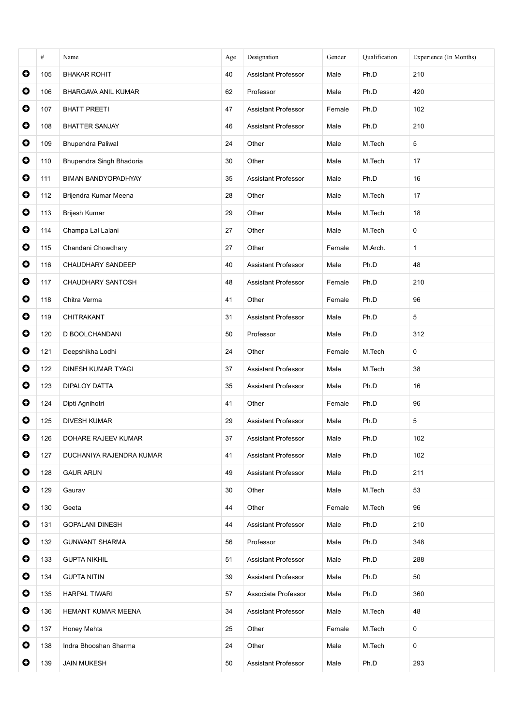|           | #   | Name                       | Age | Designation                | Gender | Qualification | Experience (In Months) |
|-----------|-----|----------------------------|-----|----------------------------|--------|---------------|------------------------|
| $\bullet$ | 105 | <b>BHAKAR ROHIT</b>        | 40  | <b>Assistant Professor</b> | Male   | Ph.D          | 210                    |
| $\bullet$ | 106 | <b>BHARGAVA ANIL KUMAR</b> | 62  | Professor                  | Male   | Ph.D          | 420                    |
| $\bullet$ | 107 | <b>BHATT PREETI</b>        | 47  | Assistant Professor        | Female | Ph.D          | 102                    |
| $\bullet$ | 108 | <b>BHATTER SANJAY</b>      | 46  | <b>Assistant Professor</b> | Male   | Ph.D          | 210                    |
| $\bullet$ | 109 | <b>Bhupendra Paliwal</b>   | 24  | Other                      | Male   | M.Tech        | 5                      |
| $\bullet$ | 110 | Bhupendra Singh Bhadoria   | 30  | Other                      | Male   | M.Tech        | 17                     |
| $\bullet$ | 111 | BIMAN BANDYOPADHYAY        | 35  | <b>Assistant Professor</b> | Male   | Ph.D          | 16                     |
| $\bullet$ | 112 | Brijendra Kumar Meena      | 28  | Other                      | Male   | M.Tech        | 17                     |
| $\bullet$ | 113 | Brijesh Kumar              | 29  | Other                      | Male   | M.Tech        | 18                     |
| $\bullet$ | 114 | Champa Lal Lalani          | 27  | Other                      | Male   | M.Tech        | 0                      |
| $\bullet$ | 115 | Chandani Chowdhary         | 27  | Other                      | Female | M.Arch.       | 1                      |
| $\bullet$ | 116 | <b>CHAUDHARY SANDEEP</b>   | 40  | <b>Assistant Professor</b> | Male   | Ph.D          | 48                     |
| $\bullet$ | 117 | CHAUDHARY SANTOSH          | 48  | <b>Assistant Professor</b> | Female | Ph.D          | 210                    |
| $\bullet$ | 118 | Chitra Verma               | 41  | Other                      | Female | Ph.D          | 96                     |
| $\bullet$ | 119 | CHITRAKANT                 | 31  | Assistant Professor        | Male   | Ph.D          | 5                      |
| $\bullet$ | 120 | D BOOLCHANDANI             | 50  | Professor                  | Male   | Ph.D          | 312                    |
| $\bullet$ | 121 | Deepshikha Lodhi           | 24  | Other                      | Female | M.Tech        | 0                      |
| $\bullet$ | 122 | DINESH KUMAR TYAGI         | 37  | <b>Assistant Professor</b> | Male   | M.Tech        | 38                     |
| $\bullet$ | 123 | <b>DIPALOY DATTA</b>       | 35  | <b>Assistant Professor</b> | Male   | Ph.D          | 16                     |
| $\bullet$ | 124 | Dipti Agnihotri            | 41  | Other                      | Female | Ph.D          | 96                     |
| $\bullet$ | 125 | <b>DIVESH KUMAR</b>        | 29  | <b>Assistant Professor</b> | Male   | Ph.D          | 5                      |
| O         | 126 | DOHARE RAJEEV KUMAR        | 37  | <b>Assistant Professor</b> | Male   | Ph.D          | 102                    |
| $\bullet$ | 127 | DUCHANIYA RAJENDRA KUMAR   | 41  | <b>Assistant Professor</b> | Male   | Ph.D          | 102                    |
| $\bullet$ | 128 | <b>GAUR ARUN</b>           | 49  | <b>Assistant Professor</b> | Male   | Ph.D          | 211                    |
| $\bullet$ | 129 | Gaurav                     | 30  | Other                      | Male   | M.Tech        | 53                     |
| $\bullet$ | 130 | Geeta                      | 44  | Other                      | Female | M.Tech        | 96                     |
| $\bullet$ | 131 | <b>GOPALANI DINESH</b>     | 44  | <b>Assistant Professor</b> | Male   | Ph.D          | 210                    |
| $\bullet$ | 132 | <b>GUNWANT SHARMA</b>      | 56  | Professor                  | Male   | Ph.D          | 348                    |
| $\bullet$ | 133 | <b>GUPTA NIKHIL</b>        | 51  | <b>Assistant Professor</b> | Male   | Ph.D          | 288                    |
| $\bullet$ | 134 | <b>GUPTA NITIN</b>         | 39  | Assistant Professor        | Male   | Ph.D          | 50                     |
| $\bullet$ | 135 | <b>HARPAL TIWARI</b>       | 57  | Associate Professor        | Male   | Ph.D          | 360                    |
| $\bullet$ | 136 | HEMANT KUMAR MEENA         | 34  | <b>Assistant Professor</b> | Male   | M.Tech        | 48                     |
| $\bullet$ | 137 | Honey Mehta                | 25  | Other                      | Female | M.Tech        | 0                      |
| $\bullet$ | 138 | Indra Bhooshan Sharma      | 24  | Other                      | Male   | M.Tech        | 0                      |
| $\bullet$ | 139 | <b>JAIN MUKESH</b>         | 50  | Assistant Professor        | Male   | Ph.D          | 293                    |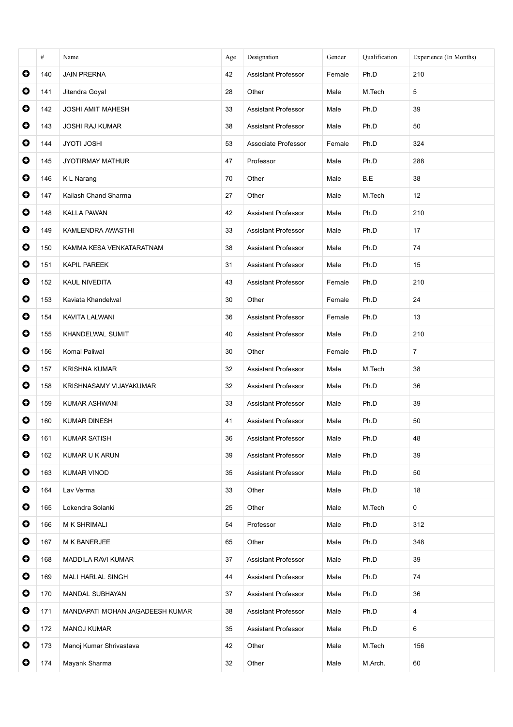|           | #   | Name                            | Age | Designation                | Gender | Qualification | Experience (In Months) |
|-----------|-----|---------------------------------|-----|----------------------------|--------|---------------|------------------------|
| $\bullet$ | 140 | <b>JAIN PRERNA</b>              | 42  | <b>Assistant Professor</b> | Female | Ph.D          | 210                    |
| $\bullet$ | 141 | Jitendra Goyal                  | 28  | Other                      | Male   | M.Tech        | 5                      |
| $\bullet$ | 142 | <b>JOSHI AMIT MAHESH</b>        | 33  | Assistant Professor        | Male   | Ph.D          | 39                     |
| $\bullet$ | 143 | <b>JOSHI RAJ KUMAR</b>          | 38  | Assistant Professor        | Male   | Ph.D          | 50                     |
| $\bullet$ | 144 | <b>JYOTI JOSHI</b>              | 53  | Associate Professor        | Female | Ph.D          | 324                    |
| $\bullet$ | 145 | <b>JYOTIRMAY MATHUR</b>         | 47  | Professor                  | Male   | Ph.D          | 288                    |
| $\bullet$ | 146 | K L Narang                      | 70  | Other                      | Male   | B.E           | 38                     |
| $\bullet$ | 147 | Kailash Chand Sharma            | 27  | Other                      | Male   | M.Tech        | 12                     |
| $\bullet$ | 148 | KALLA PAWAN                     | 42  | Assistant Professor        | Male   | Ph.D          | 210                    |
| $\bullet$ | 149 | KAMLENDRA AWASTHI               | 33  | Assistant Professor        | Male   | Ph.D          | 17                     |
| $\bullet$ | 150 | KAMMA KESA VENKATARATNAM        | 38  | Assistant Professor        | Male   | Ph.D          | 74                     |
| $\bullet$ | 151 | KAPIL PAREEK                    | 31  | Assistant Professor        | Male   | Ph.D          | 15                     |
| $\bullet$ | 152 | KAUL NIVEDITA                   | 43  | Assistant Professor        | Female | Ph.D          | 210                    |
| $\bullet$ | 153 | Kaviata Khandelwal              | 30  | Other                      | Female | Ph.D          | 24                     |
| $\bullet$ | 154 | KAVITA LALWANI                  | 36  | Assistant Professor        | Female | Ph.D          | 13                     |
| $\bullet$ | 155 | KHANDELWAL SUMIT                | 40  | Assistant Professor        | Male   | Ph.D          | 210                    |
| $\bullet$ | 156 | Komal Paliwal                   | 30  | Other                      | Female | Ph.D          | $\overline{7}$         |
| $\bullet$ | 157 | <b>KRISHNA KUMAR</b>            | 32  | Assistant Professor        | Male   | M.Tech        | 38                     |
| $\bullet$ | 158 | KRISHNASAMY VIJAYAKUMAR         | 32  | Assistant Professor        | Male   | Ph.D          | 36                     |
| $\bullet$ | 159 | KUMAR ASHWANI                   | 33  | <b>Assistant Professor</b> | Male   | Ph.D          | 39                     |
| $\bullet$ | 160 | <b>KUMAR DINESH</b>             | 41  | Assistant Professor        | Male   | Ph.D          | 50                     |
| O         | 161 | <b>KUMAR SATISH</b>             | 36  | Assistant Professor        | Male   | Ph.D          | 48                     |
| $\bullet$ | 162 | KUMAR U K ARUN                  | 39  | <b>Assistant Professor</b> | Male   | Ph.D          | 39                     |
| $\bullet$ | 163 | <b>KUMAR VINOD</b>              | 35  | <b>Assistant Professor</b> | Male   | Ph.D          | 50                     |
| $\bullet$ | 164 | Lav Verma                       | 33  | Other                      | Male   | Ph.D          | 18                     |
| $\bullet$ | 165 | Lokendra Solanki                | 25  | Other                      | Male   | M.Tech        | 0                      |
| $\bullet$ | 166 | M K SHRIMALI                    | 54  | Professor                  | Male   | Ph.D          | 312                    |
| $\bullet$ | 167 | M K BANERJEE                    | 65  | Other                      | Male   | Ph.D          | 348                    |
| $\bullet$ | 168 | MADDILA RAVI KUMAR              | 37  | <b>Assistant Professor</b> | Male   | Ph.D          | 39                     |
| $\bullet$ | 169 | MALI HARLAL SINGH               | 44  | <b>Assistant Professor</b> | Male   | Ph.D          | 74                     |
| $\bullet$ | 170 | MANDAL SUBHAYAN                 | 37  | Assistant Professor        | Male   | Ph.D          | 36                     |
| $\bullet$ | 171 | MANDAPATI MOHAN JAGADEESH KUMAR | 38  | <b>Assistant Professor</b> | Male   | Ph.D          | $\overline{4}$         |
| $\bullet$ | 172 | <b>MANOJ KUMAR</b>              | 35  | <b>Assistant Professor</b> | Male   | Ph.D          | 6                      |
| $\bullet$ | 173 | Manoj Kumar Shrivastava         | 42  | Other                      | Male   | M.Tech        | 156                    |
| $\bullet$ | 174 | Mayank Sharma                   | 32  | Other                      | Male   | M.Arch.       | 60                     |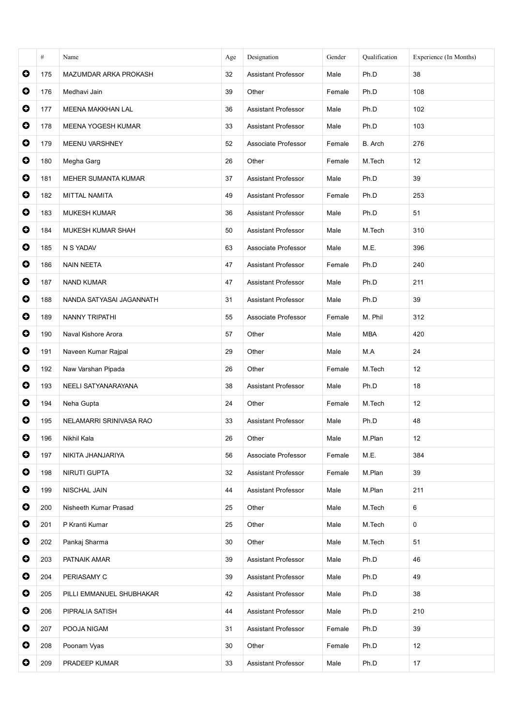|           | #   | Name                      | Age | Designation                | Gender | Oualification | Experience (In Months) |
|-----------|-----|---------------------------|-----|----------------------------|--------|---------------|------------------------|
| $\bullet$ | 175 | MAZUMDAR ARKA PROKASH     | 32  | Assistant Professor        | Male   | Ph.D          | 38                     |
| $\bullet$ | 176 | Medhavi Jain              | 39  | Other                      | Female | Ph.D          | 108                    |
| $\bullet$ | 177 | <b>MEENA MAKKHAN LAL</b>  | 36  | <b>Assistant Professor</b> | Male   | Ph.D          | 102                    |
| $\bullet$ | 178 | <b>MEENA YOGESH KUMAR</b> | 33  | Assistant Professor        | Male   | Ph.D          | 103                    |
| $\bullet$ | 179 | <b>MEENU VARSHNEY</b>     | 52  | Associate Professor        | Female | B. Arch       | 276                    |
| $\bullet$ | 180 | Megha Garg                | 26  | Other                      | Female | M.Tech        | 12                     |
| $\bullet$ | 181 | MEHER SUMANTA KUMAR       | 37  | Assistant Professor        | Male   | Ph.D          | 39                     |
| $\bullet$ | 182 | MITTAL NAMITA             | 49  | Assistant Professor        | Female | Ph.D          | 253                    |
| $\bullet$ | 183 | <b>MUKESH KUMAR</b>       | 36  | Assistant Professor        | Male   | Ph.D          | 51                     |
| $\bullet$ | 184 | MUKESH KUMAR SHAH         | 50  | <b>Assistant Professor</b> | Male   | M.Tech        | 310                    |
| $\bullet$ | 185 | N S YADAV                 | 63  | Associate Professor        | Male   | M.E.          | 396                    |
| $\bullet$ | 186 | <b>NAIN NEETA</b>         | 47  | <b>Assistant Professor</b> | Female | Ph.D          | 240                    |
| $\bullet$ | 187 | <b>NAND KUMAR</b>         | 47  | Assistant Professor        | Male   | Ph.D          | 211                    |
| $\bullet$ | 188 | NANDA SATYASAI JAGANNATH  | 31  | Assistant Professor        | Male   | Ph.D          | 39                     |
| $\bullet$ | 189 | NANNY TRIPATHI            | 55  | Associate Professor        | Female | M. Phil       | 312                    |
| $\bullet$ | 190 | Naval Kishore Arora       | 57  | Other                      | Male   | <b>MBA</b>    | 420                    |
| $\bullet$ | 191 | Naveen Kumar Rajpal       | 29  | Other                      | Male   | M.A           | 24                     |
| $\bullet$ | 192 | Naw Varshan Pipada        | 26  | Other                      | Female | M.Tech        | 12                     |
| $\bullet$ | 193 | NEELI SATYANARAYANA       | 38  | Assistant Professor        | Male   | Ph.D          | 18                     |
| $\bullet$ | 194 | Neha Gupta                | 24  | Other                      | Female | M.Tech        | 12                     |
| $\bullet$ | 195 | NELAMARRI SRINIVASA RAO   | 33  | Assistant Professor        | Male   | Ph.D          | 48                     |
| O         | 196 | Nikhil Kala               | 26  | Other                      | Male   | M.Plan        | 12                     |
| $\bullet$ | 197 | NIKITA JHANJARIYA         | 56  | Associate Professor        | Female | M.E.          | 384                    |
| $\bullet$ | 198 | NIRUTI GUPTA              | 32  | Assistant Professor        | Female | M.Plan        | 39                     |
| $\bullet$ | 199 | NISCHAL JAIN              | 44  | <b>Assistant Professor</b> | Male   | M.Plan        | 211                    |
| $\bullet$ | 200 | Nisheeth Kumar Prasad     | 25  | Other                      | Male   | M.Tech        | 6                      |
| $\bullet$ | 201 | P Kranti Kumar            | 25  | Other                      | Male   | M.Tech        | 0                      |
| $\bullet$ | 202 | Pankaj Sharma             | 30  | Other                      | Male   | M.Tech        | 51                     |
| $\bullet$ | 203 | PATNAIK AMAR              | 39  | <b>Assistant Professor</b> | Male   | Ph.D          | 46                     |
| $\bullet$ | 204 | PERIASAMY C               | 39  | <b>Assistant Professor</b> | Male   | Ph.D          | 49                     |
| $\bullet$ | 205 | PILLI EMMANUEL SHUBHAKAR  | 42  | <b>Assistant Professor</b> | Male   | Ph.D          | 38                     |
| $\bullet$ | 206 | PIPRALIA SATISH           | 44  | <b>Assistant Professor</b> | Male   | Ph.D          | 210                    |
| $\bullet$ | 207 | POOJA NIGAM               | 31  | <b>Assistant Professor</b> | Female | Ph.D          | 39                     |
| $\bullet$ | 208 | Poonam Vyas               | 30  | Other                      | Female | Ph.D          | 12                     |
| $\bullet$ | 209 | PRADEEP KUMAR             | 33  | Assistant Professor        | Male   | Ph.D          | 17                     |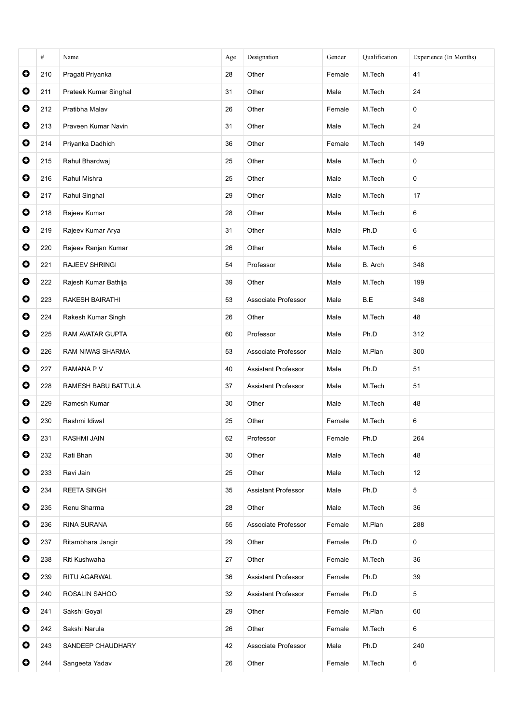|           | #   | Name                  | Age | Designation                | Gender | Qualification | Experience (In Months) |
|-----------|-----|-----------------------|-----|----------------------------|--------|---------------|------------------------|
| $\bullet$ | 210 | Pragati Priyanka      | 28  | Other                      | Female | M.Tech        | 41                     |
| $\bullet$ | 211 | Prateek Kumar Singhal | 31  | Other                      | Male   | M.Tech        | 24                     |
| $\bullet$ | 212 | Pratibha Malav        | 26  | Other                      | Female | M.Tech        | 0                      |
| $\bullet$ | 213 | Praveen Kumar Navin   | 31  | Other                      | Male   | M.Tech        | 24                     |
| $\bullet$ | 214 | Priyanka Dadhich      | 36  | Other                      | Female | M.Tech        | 149                    |
| $\bullet$ | 215 | Rahul Bhardwaj        | 25  | Other                      | Male   | M.Tech        | 0                      |
| $\bullet$ | 216 | Rahul Mishra          | 25  | Other                      | Male   | M.Tech        | 0                      |
| $\bullet$ | 217 | Rahul Singhal         | 29  | Other                      | Male   | M.Tech        | 17                     |
| $\bullet$ | 218 | Rajeev Kumar          | 28  | Other                      | Male   | M.Tech        | 6                      |
| $\bullet$ | 219 | Rajeev Kumar Arya     | 31  | Other                      | Male   | Ph.D          | 6                      |
| $\bullet$ | 220 | Rajeev Ranjan Kumar   | 26  | Other                      | Male   | M.Tech        | 6                      |
| $\bullet$ | 221 | RAJEEV SHRINGI        | 54  | Professor                  | Male   | B. Arch       | 348                    |
| $\bullet$ | 222 | Rajesh Kumar Bathija  | 39  | Other                      | Male   | M.Tech        | 199                    |
| $\bullet$ | 223 | RAKESH BAIRATHI       | 53  | Associate Professor        | Male   | B.E           | 348                    |
| $\bullet$ | 224 | Rakesh Kumar Singh    | 26  | Other                      | Male   | M.Tech        | 48                     |
| $\bullet$ | 225 | RAM AVATAR GUPTA      | 60  | Professor                  | Male   | Ph.D          | 312                    |
| $\bullet$ | 226 | RAM NIWAS SHARMA      | 53  | Associate Professor        | Male   | M.Plan        | 300                    |
| $\bullet$ | 227 | RAMANA P V            | 40  | <b>Assistant Professor</b> | Male   | Ph.D          | 51                     |
| $\bullet$ | 228 | RAMESH BABU BATTULA   | 37  | <b>Assistant Professor</b> | Male   | M.Tech        | 51                     |
| $\bullet$ | 229 | Ramesh Kumar          | 30  | Other                      | Male   | M.Tech        | 48                     |
| $\bullet$ | 230 | Rashmi Idiwal         | 25  | Other                      | Female | M.Tech        | 6                      |
| O         | 231 | RASHMI JAIN           | 62  | Professor                  | Female | Ph.D          | 264                    |
| $\bullet$ | 232 | Rati Bhan             | 30  | Other                      | Male   | M.Tech        | 48                     |
| $\bullet$ | 233 | Ravi Jain             | 25  | Other                      | Male   | M.Tech        | 12                     |
| $\bullet$ | 234 | <b>REETA SINGH</b>    | 35  | Assistant Professor        | Male   | Ph.D          | 5                      |
| $\bullet$ | 235 | Renu Sharma           | 28  | Other                      | Male   | M.Tech        | 36                     |
| $\bullet$ | 236 | RINA SURANA           | 55  | Associate Professor        | Female | M.Plan        | 288                    |
| $\bullet$ | 237 | Ritambhara Jangir     | 29  | Other                      | Female | Ph.D          | 0                      |
| $\bullet$ | 238 | Riti Kushwaha         | 27  | Other                      | Female | M.Tech        | 36                     |
| $\bullet$ | 239 | RITU AGARWAL          | 36  | <b>Assistant Professor</b> | Female | Ph.D          | 39                     |
| $\bullet$ | 240 | ROSALIN SAHOO         | 32  | Assistant Professor        | Female | Ph.D          | 5                      |
| $\bullet$ | 241 | Sakshi Goyal          | 29  | Other                      | Female | M.Plan        | 60                     |
| $\bullet$ | 242 | Sakshi Narula         | 26  | Other                      | Female | M.Tech        | 6                      |
| $\bullet$ | 243 | SANDEEP CHAUDHARY     | 42  | Associate Professor        | Male   | Ph.D          | 240                    |
| $\bullet$ | 244 | Sangeeta Yadav        | 26  | Other                      | Female | M.Tech        | 6                      |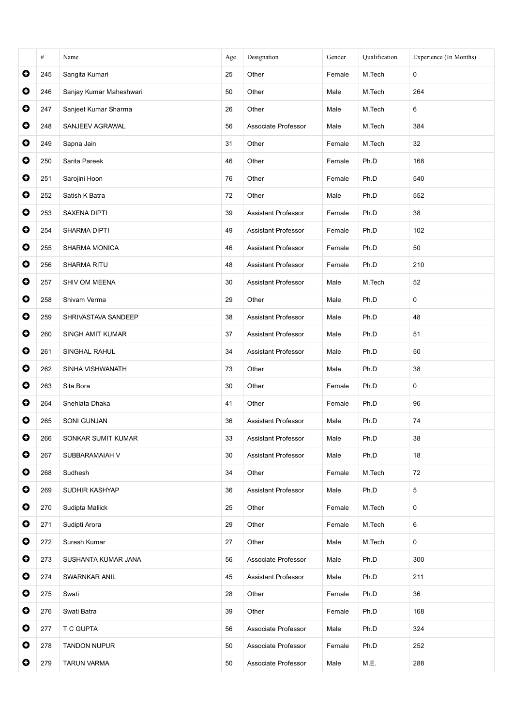|           | #   | Name                    | Age | Designation                | Gender | Qualification | Experience (In Months) |
|-----------|-----|-------------------------|-----|----------------------------|--------|---------------|------------------------|
| $\bullet$ | 245 | Sangita Kumari          | 25  | Other                      | Female | M.Tech        | 0                      |
| $\bullet$ | 246 | Sanjay Kumar Maheshwari | 50  | Other                      | Male   | M.Tech        | 264                    |
| $\bullet$ | 247 | Sanjeet Kumar Sharma    | 26  | Other                      | Male   | M.Tech        | 6                      |
| $\bullet$ | 248 | SANJEEV AGRAWAL         | 56  | Associate Professor        | Male   | M.Tech        | 384                    |
| $\bullet$ | 249 | Sapna Jain              | 31  | Other                      | Female | M.Tech        | 32                     |
| $\bullet$ | 250 | Sarita Pareek           | 46  | Other                      | Female | Ph.D          | 168                    |
| $\bullet$ | 251 | Sarojini Hoon           | 76  | Other                      | Female | Ph.D          | 540                    |
| $\bullet$ | 252 | Satish K Batra          | 72  | Other                      | Male   | Ph.D          | 552                    |
| $\bullet$ | 253 | <b>SAXENA DIPTI</b>     | 39  | Assistant Professor        | Female | Ph.D          | 38                     |
| $\bullet$ | 254 | SHARMA DIPTI            | 49  | Assistant Professor        | Female | Ph.D          | 102                    |
| $\bullet$ | 255 | SHARMA MONICA           | 46  | Assistant Professor        | Female | Ph.D          | 50                     |
| $\bullet$ | 256 | SHARMA RITU             | 48  | Assistant Professor        | Female | Ph.D          | 210                    |
| $\bullet$ | 257 | SHIV OM MEENA           | 30  | <b>Assistant Professor</b> | Male   | M.Tech        | 52                     |
| $\bullet$ | 258 | Shivam Verma            | 29  | Other                      | Male   | Ph.D          | 0                      |
| $\bullet$ | 259 | SHRIVASTAVA SANDEEP     | 38  | Assistant Professor        | Male   | Ph.D          | 48                     |
| $\bullet$ | 260 | SINGH AMIT KUMAR        | 37  | Assistant Professor        | Male   | Ph.D          | 51                     |
| $\bullet$ | 261 | SINGHAL RAHUL           | 34  | <b>Assistant Professor</b> | Male   | Ph.D          | 50                     |
| $\bullet$ | 262 | SINHA VISHWANATH        | 73  | Other                      | Male   | Ph.D          | 38                     |
| $\bullet$ | 263 | Sita Bora               | 30  | Other                      | Female | Ph.D          | 0                      |
| $\bullet$ | 264 | Snehlata Dhaka          | 41  | Other                      | Female | Ph.D          | 96                     |
| $\bullet$ | 265 | SONI GUNJAN             | 36  | Assistant Professor        | Male   | Ph.D          | 74                     |
| O         | 266 | SONKAR SUMIT KUMAR      | 33  | Assistant Professor        | Male   | Ph.D          | 38                     |
| $\bullet$ | 267 | SUBBARAMAIAH V          | 30  | <b>Assistant Professor</b> | Male   | Ph.D          | 18                     |
| $\bullet$ | 268 | Sudhesh                 | 34  | Other                      | Female | M.Tech        | 72                     |
| $\bullet$ | 269 | SUDHIR KASHYAP          | 36  | Assistant Professor        | Male   | Ph.D          | 5                      |
| $\bullet$ | 270 | Sudipta Mallick         | 25  | Other                      | Female | M.Tech        | $\mathbf 0$            |
| $\bullet$ | 271 | Sudipti Arora           | 29  | Other                      | Female | M.Tech        | 6                      |
| $\bullet$ | 272 | Suresh Kumar            | 27  | Other                      | Male   | M.Tech        | 0                      |
| $\bullet$ | 273 | SUSHANTA KUMAR JANA     | 56  | Associate Professor        | Male   | Ph.D          | 300                    |
| $\bullet$ | 274 | SWARNKAR ANIL           | 45  | <b>Assistant Professor</b> | Male   | Ph.D          | 211                    |
| $\bullet$ | 275 | Swati                   | 28  | Other                      | Female | Ph.D          | 36                     |
| $\bullet$ | 276 | Swati Batra             | 39  | Other                      | Female | Ph.D          | 168                    |
| $\bullet$ | 277 | T C GUPTA               | 56  | Associate Professor        | Male   | Ph.D          | 324                    |
| $\bullet$ | 278 | <b>TANDON NUPUR</b>     | 50  | Associate Professor        | Female | Ph.D          | 252                    |
| $\bullet$ | 279 | <b>TARUN VARMA</b>      | 50  | Associate Professor        | Male   | M.E.          | 288                    |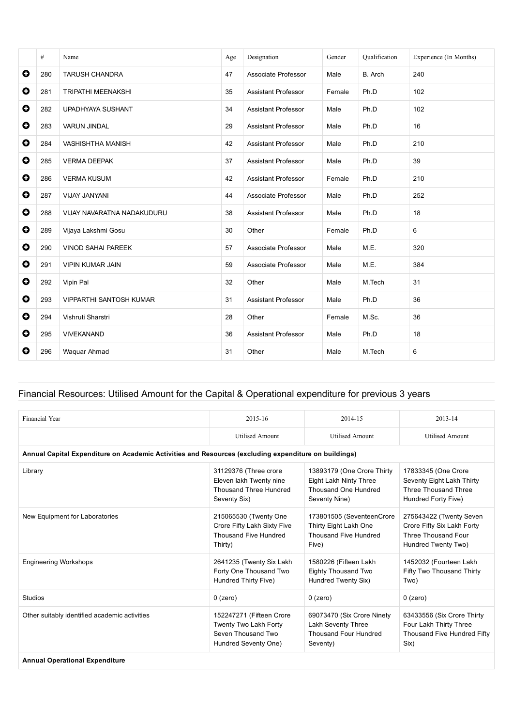|           | #   | Name                           | Age | Designation                | Gender | Oualification | Experience (In Months) |
|-----------|-----|--------------------------------|-----|----------------------------|--------|---------------|------------------------|
| $\bullet$ | 280 | <b>TARUSH CHANDRA</b>          | 47  | Associate Professor        | Male   | B. Arch       | 240                    |
| $\bullet$ | 281 | <b>TRIPATHI MEENAKSHI</b>      | 35  | <b>Assistant Professor</b> | Female | Ph.D          | 102                    |
| O         | 282 | UPADHYAYA SUSHANT              | 34  | <b>Assistant Professor</b> | Male   | Ph.D          | 102                    |
| $\bullet$ | 283 | <b>VARUN JINDAL</b>            | 29  | <b>Assistant Professor</b> | Male   | Ph.D          | 16                     |
| $\bullet$ | 284 | <b>VASHISHTHA MANISH</b>       | 42  | <b>Assistant Professor</b> | Male   | Ph.D          | 210                    |
| O         | 285 | <b>VERMA DEEPAK</b>            | 37  | <b>Assistant Professor</b> | Male   | Ph.D          | 39                     |
| $\bullet$ | 286 | <b>VERMA KUSUM</b>             | 42  | <b>Assistant Professor</b> | Female | Ph.D          | 210                    |
| O         | 287 | VIJAY JANYANI                  | 44  | Associate Professor        | Male   | Ph.D          | 252                    |
| O         | 288 | VIJAY NAVARATNA NADAKUDURU     | 38  | <b>Assistant Professor</b> | Male   | Ph.D          | 18                     |
| $\bullet$ | 289 | Vijaya Lakshmi Gosu            | 30  | Other                      | Female | Ph.D          | 6                      |
| $\bullet$ | 290 | <b>VINOD SAHAI PAREEK</b>      | 57  | Associate Professor        | Male   | M.E.          | 320                    |
| $\bullet$ | 291 | <b>VIPIN KUMAR JAIN</b>        | 59  | Associate Professor        | Male   | M.E.          | 384                    |
| O         | 292 | Vipin Pal                      | 32  | Other                      | Male   | M.Tech        | 31                     |
| $\bullet$ | 293 | <b>VIPPARTHI SANTOSH KUMAR</b> | 31  | <b>Assistant Professor</b> | Male   | Ph.D          | 36                     |
| $\bullet$ | 294 | Vishruti Sharstri              | 28  | Other                      | Female | M.Sc.         | 36                     |
| $\bullet$ | 295 | <b>VIVEKANAND</b>              | 36  | <b>Assistant Professor</b> | Male   | Ph.D          | 18                     |
| O         | 296 | Waguar Ahmad                   | 31  | Other                      | Male   | M.Tech        | 6                      |

# Financial Resources: Utilised Amount for the Capital & Operational expenditure for previous 3 years

| <b>Financial Year</b>                                                                                | 2015-16                                                                                         | 2014-15                                                                                       | 2013-14                                                                                             |  |  |  |  |
|------------------------------------------------------------------------------------------------------|-------------------------------------------------------------------------------------------------|-----------------------------------------------------------------------------------------------|-----------------------------------------------------------------------------------------------------|--|--|--|--|
|                                                                                                      | <b>Utilised Amount</b>                                                                          | <b>Utilised Amount</b>                                                                        | <b>Utilised Amount</b>                                                                              |  |  |  |  |
| Annual Capital Expenditure on Academic Activities and Resources (excluding expenditure on buildings) |                                                                                                 |                                                                                               |                                                                                                     |  |  |  |  |
| Library                                                                                              | 31129376 (Three crore<br>Eleven lakh Twenty nine<br>Thousand Three Hundred<br>Seventy Six)      | 13893179 (One Crore Thirty<br>Eight Lakh Ninty Three<br>Thousand One Hundred<br>Seventy Nine) | 17833345 (One Crore<br>Seventy Eight Lakh Thirty<br>Three Thousand Three<br>Hundred Forty Five)     |  |  |  |  |
| New Equipment for Laboratories                                                                       | 215065530 (Twenty One<br>Crore Fifty Lakh Sixty Five<br>Thousand Five Hundred<br>Thirty)        | 173801505 (SeventeenCrore<br>Thirty Eight Lakh One<br>Thousand Five Hundred<br>Five)          | 275643422 (Twenty Seven<br>Crore Fifty Six Lakh Forty<br>Three Thousand Four<br>Hundred Twenty Two) |  |  |  |  |
| <b>Engineering Workshops</b>                                                                         | 2641235 (Twenty Six Lakh<br>Forty One Thousand Two<br>Hundred Thirty Five)                      | 1580226 (Fifteen Lakh<br>Eighty Thousand Two<br>Hundred Twenty Six)                           | 1452032 (Fourteen Lakh<br>Fifty Two Thousand Thirty<br>Two)                                         |  |  |  |  |
| Studios                                                                                              | $0$ (zero)                                                                                      | $0$ (zero)                                                                                    | $0$ (zero)                                                                                          |  |  |  |  |
| Other suitably identified academic activities                                                        | 152247271 (Fifteen Crore<br>Twenty Two Lakh Forty<br>Seven Thousand Two<br>Hundred Seventy One) | 69073470 (Six Crore Ninety<br>Lakh Seventy Three<br><b>Thousand Four Hundred</b><br>Seventy)  | 63433556 (Six Crore Thirty<br>Four Lakh Thirty Three<br>Thousand Five Hundred Fifty<br>Six)         |  |  |  |  |
| <b>Annual Operational Expenditure</b>                                                                |                                                                                                 |                                                                                               |                                                                                                     |  |  |  |  |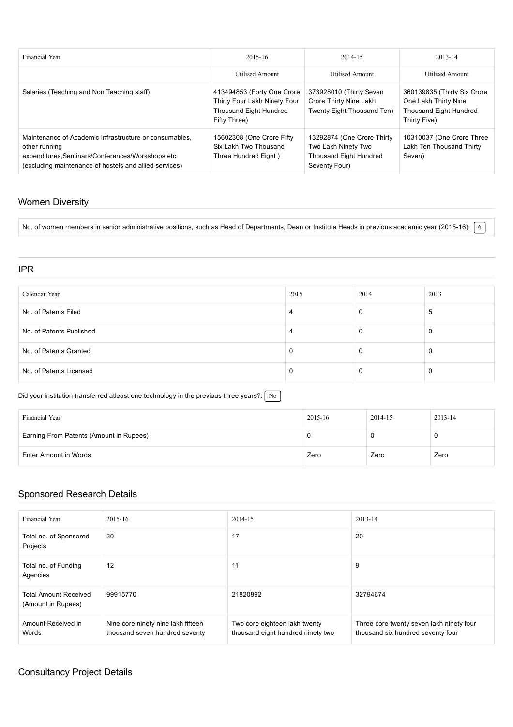| Financial Year                                                                                                                                                                         | $2015 - 16$                                                                                          | 2014-15                                                                                             | 2013-14                                                                                       |
|----------------------------------------------------------------------------------------------------------------------------------------------------------------------------------------|------------------------------------------------------------------------------------------------------|-----------------------------------------------------------------------------------------------------|-----------------------------------------------------------------------------------------------|
|                                                                                                                                                                                        | Utilised Amount                                                                                      | <b>Utilised Amount</b>                                                                              | <b>Utilised Amount</b>                                                                        |
| Salaries (Teaching and Non Teaching staff)                                                                                                                                             | 413494853 (Forty One Crore<br>Thirty Four Lakh Ninety Four<br>Thousand Eight Hundred<br>Fifty Three) | 373928010 (Thirty Seven<br>Crore Thirty Nine Lakh<br>Twenty Eight Thousand Ten)                     | 360139835 (Thirty Six Crore<br>One Lakh Thirty Nine<br>Thousand Eight Hundred<br>Thirty Five) |
| Maintenance of Academic Infrastructure or consumables.<br>other running<br>expenditures, Seminars/Conferences/Workshops etc.<br>(excluding maintenance of hostels and allied services) | 15602308 (One Crore Fifty<br>Six Lakh Two Thousand<br>Three Hundred Eight)                           | 13292874 (One Crore Thirty<br>Two Lakh Ninety Two<br><b>Thousand Eight Hundred</b><br>Seventy Four) | 10310037 (One Crore Three<br>Lakh Ten Thousand Thirty<br>Seven)                               |

### Women Diversity

No. of women members in senior administrative positions, such as Head of Departments, Dean or Institute Heads in previous academic year (2015-16):  $\boxed{6}$ 

#### IPR

| Calendar Year            | 2015 | 2014 | 2013 |
|--------------------------|------|------|------|
| No. of Patents Filed     | 4    | 0    | ა    |
| No. of Patents Published | 4    | 0    |      |
| No. of Patents Granted   | J.   | U    | U    |
| No. of Patents Licensed  | J.   | O    |      |

Did your institution transferred atleast one technology in the previous three years?:  $\sqrt{N_0}$ 

| Financial Year                          | 2015-16 | 2014-15 | 2013-14 |
|-----------------------------------------|---------|---------|---------|
| Earning From Patents (Amount in Rupees) |         |         |         |
| Enter Amount in Words                   | Zero    | Zero    | Zero    |

### Sponsored Research Details

| Financial Year                                     | $2015 - 16$                                                          | 2014-15                                                            | 2013-14                                                                       |
|----------------------------------------------------|----------------------------------------------------------------------|--------------------------------------------------------------------|-------------------------------------------------------------------------------|
| Total no. of Sponsored<br>Projects                 | 30                                                                   | 17                                                                 | 20                                                                            |
| Total no. of Funding<br>Agencies                   | 12                                                                   | 11                                                                 | 9                                                                             |
| <b>Total Amount Received</b><br>(Amount in Rupees) | 99915770                                                             | 21820892                                                           | 32794674                                                                      |
| Amount Received in<br>Words                        | Nine core ninety nine lakh fifteen<br>thousand seven hundred seventy | Two core eighteen lakh twenty<br>thousand eight hundred ninety two | Three core twenty seven lakh ninety four<br>thousand six hundred seventy four |

### Consultancy Project Details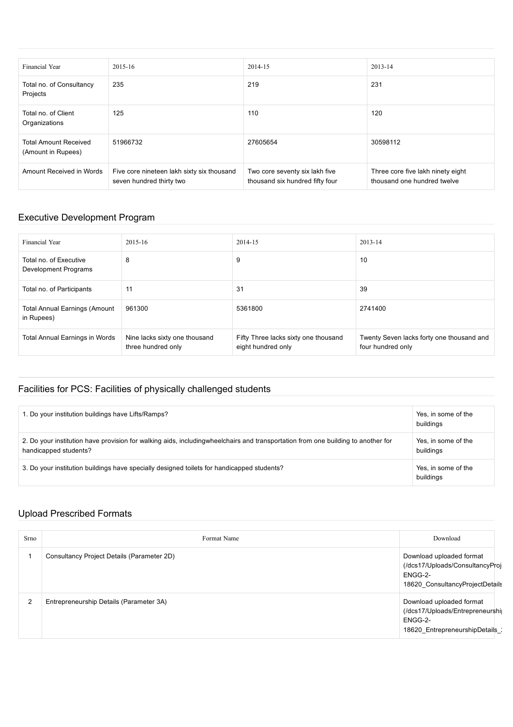| Financial Year                                     | 2015-16                                                                | 2014-15                                                           | 2013-14                                                          |
|----------------------------------------------------|------------------------------------------------------------------------|-------------------------------------------------------------------|------------------------------------------------------------------|
| Total no. of Consultancy<br>Projects               | 235                                                                    | 219                                                               | 231                                                              |
| Total no. of Client<br>Organizations               | 125                                                                    | 110                                                               | 120                                                              |
| <b>Total Amount Received</b><br>(Amount in Rupees) | 51966732                                                               | 27605654                                                          | 30598112                                                         |
| Amount Received in Words                           | Five core nineteen lakh sixty six thousand<br>seven hundred thirty two | Two core seventy six lakh five<br>thousand six hundred fifty four | Three core five lakh ninety eight<br>thousand one hundred twelve |

## Executive Development Program

| Financial Year                                     | $2015 - 16$                                         | 2014-15                                                    | $2013 - 14$                                                    |
|----------------------------------------------------|-----------------------------------------------------|------------------------------------------------------------|----------------------------------------------------------------|
| Total no. of Executive<br>Development Programs     | 8                                                   | 9                                                          | 10                                                             |
| Total no. of Participants                          | 11                                                  | 31                                                         | 39                                                             |
| <b>Total Annual Earnings (Amount</b><br>in Rupees) | 961300                                              | 5361800                                                    | 2741400                                                        |
| Total Annual Earnings in Words                     | Nine lacks sixty one thousand<br>three hundred only | Fifty Three lacks sixty one thousand<br>eight hundred only | Twenty Seven lacks forty one thousand and<br>four hundred only |

# Facilities for PCS: Facilities of physically challenged students

| 1. Do your institution buildings have Lifts/Ramps?                                                                                                         | Yes, in some of the<br>buildings |
|------------------------------------------------------------------------------------------------------------------------------------------------------------|----------------------------------|
| 2. Do your institution have provision for walking aids, including wheelchairs and transportation from one building to another for<br>handicapped students? | Yes, in some of the<br>buildings |
| 3. Do your institution buildings have specially designed toilets for handicapped students?                                                                 | Yes, in some of the<br>buildings |

# Upload Prescribed Formats

| Srno | Format Name                                | Download                                                                                                  |
|------|--------------------------------------------|-----------------------------------------------------------------------------------------------------------|
|      | Consultancy Project Details (Parameter 2D) | Download uploaded format<br>(/dcs17/Uploads/ConsultancyProj<br>ENGG-2-<br>18620 ConsultancyProjectDetails |
| 2    | Entrepreneurship Details (Parameter 3A)    | Download uploaded format<br>(/dcs17/Uploads/Entrepreneurshij<br>ENGG-2-<br>18620_EntrepreneurshipDetails  |